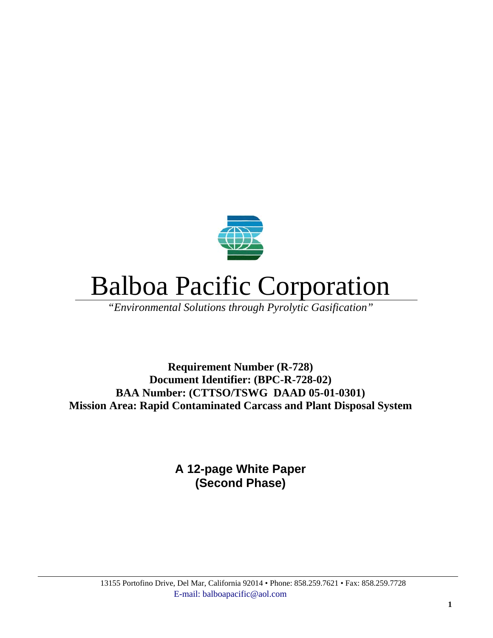

# Balboa Pacific Corporation

*"Environmental Solutions through Pyrolytic Gasification"*

**Requirement Number (R-728) Document Identifier: (BPC-R-728-02) BAA Number: (CTTSO/TSWG DAAD 05-01-0301) Mission Area: Rapid Contaminated Carcass and Plant Disposal System** 

> **A 12-page White Paper (Second Phase)**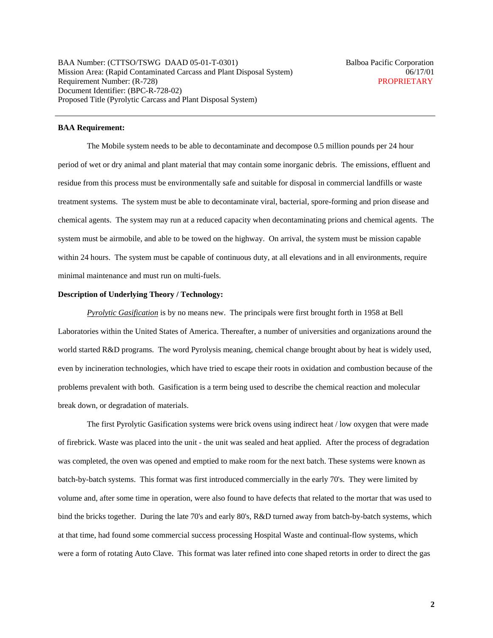BAA Number: (CTTSO/TSWG DAAD 05-01-T-0301) Balboa Pacific Corporation Mission Area: (Rapid Contaminated Carcass and Plant Disposal System) 06/17/01 Requirement Number: (R-728) PROPRIETARY Document Identifier: (BPC-R-728-02) Proposed Title (Pyrolytic Carcass and Plant Disposal System)

# **BAA Requirement:**

The Mobile system needs to be able to decontaminate and decompose 0.5 million pounds per 24 hour period of wet or dry animal and plant material that may contain some inorganic debris. The emissions, effluent and residue from this process must be environmentally safe and suitable for disposal in commercial landfills or waste treatment systems. The system must be able to decontaminate viral, bacterial, spore-forming and prion disease and chemical agents. The system may run at a reduced capacity when decontaminating prions and chemical agents. The system must be airmobile, and able to be towed on the highway. On arrival, the system must be mission capable within 24 hours. The system must be capable of continuous duty, at all elevations and in all environments, require minimal maintenance and must run on multi-fuels.

#### **Description of Underlying Theory / Technology:**

*Pyrolytic Gasification* is by no means new. The principals were first brought forth in 1958 at Bell Laboratories within the United States of America. Thereafter, a number of universities and organizations around the world started R&D programs. The word Pyrolysis meaning, chemical change brought about by heat is widely used, even by incineration technologies, which have tried to escape their roots in oxidation and combustion because of the problems prevalent with both. Gasification is a term being used to describe the chemical reaction and molecular break down, or degradation of materials.

The first Pyrolytic Gasification systems were brick ovens using indirect heat / low oxygen that were made of firebrick. Waste was placed into the unit - the unit was sealed and heat applied. After the process of degradation was completed, the oven was opened and emptied to make room for the next batch. These systems were known as batch-by-batch systems. This format was first introduced commercially in the early 70's. They were limited by volume and, after some time in operation, were also found to have defects that related to the mortar that was used to bind the bricks together. During the late 70's and early 80's, R&D turned away from batch-by-batch systems, which at that time, had found some commercial success processing Hospital Waste and continual-flow systems, which were a form of rotating Auto Clave. This format was later refined into cone shaped retorts in order to direct the gas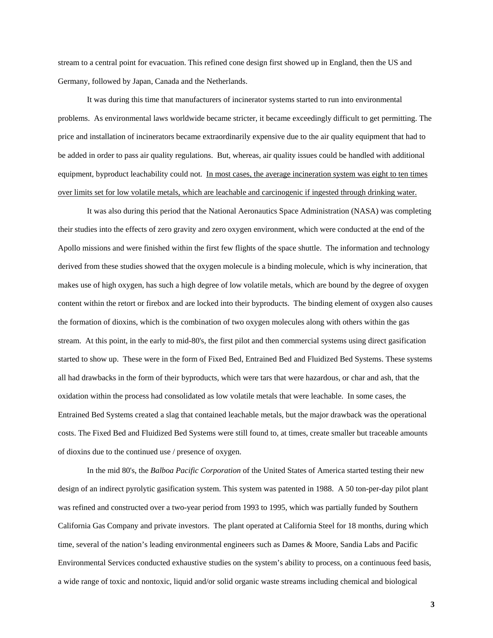stream to a central point for evacuation. This refined cone design first showed up in England, then the US and Germany, followed by Japan, Canada and the Netherlands.

It was during this time that manufacturers of incinerator systems started to run into environmental problems. As environmental laws worldwide became stricter, it became exceedingly difficult to get permitting. The price and installation of incinerators became extraordinarily expensive due to the air quality equipment that had to be added in order to pass air quality regulations. But, whereas, air quality issues could be handled with additional equipment, byproduct leachability could not. In most cases, the average incineration system was eight to ten times over limits set for low volatile metals, which are leachable and carcinogenic if ingested through drinking water.

It was also during this period that the National Aeronautics Space Administration (NASA) was completing their studies into the effects of zero gravity and zero oxygen environment, which were conducted at the end of the Apollo missions and were finished within the first few flights of the space shuttle. The information and technology derived from these studies showed that the oxygen molecule is a binding molecule, which is why incineration, that makes use of high oxygen, has such a high degree of low volatile metals, which are bound by the degree of oxygen content within the retort or firebox and are locked into their byproducts. The binding element of oxygen also causes the formation of dioxins, which is the combination of two oxygen molecules along with others within the gas stream. At this point, in the early to mid-80's, the first pilot and then commercial systems using direct gasification started to show up. These were in the form of Fixed Bed, Entrained Bed and Fluidized Bed Systems. These systems all had drawbacks in the form of their byproducts, which were tars that were hazardous, or char and ash, that the oxidation within the process had consolidated as low volatile metals that were leachable. In some cases, the Entrained Bed Systems created a slag that contained leachable metals, but the major drawback was the operational costs. The Fixed Bed and Fluidized Bed Systems were still found to, at times, create smaller but traceable amounts of dioxins due to the continued use / presence of oxygen.

In the mid 80's, the *Balboa Pacific Corporation* of the United States of America started testing their new design of an indirect pyrolytic gasification system. This system was patented in 1988. A 50 ton-per-day pilot plant was refined and constructed over a two-year period from 1993 to 1995, which was partially funded by Southern California Gas Company and private investors. The plant operated at California Steel for 18 months, during which time, several of the nation's leading environmental engineers such as Dames & Moore, Sandia Labs and Pacific Environmental Services conducted exhaustive studies on the system's ability to process, on a continuous feed basis, a wide range of toxic and nontoxic, liquid and/or solid organic waste streams including chemical and biological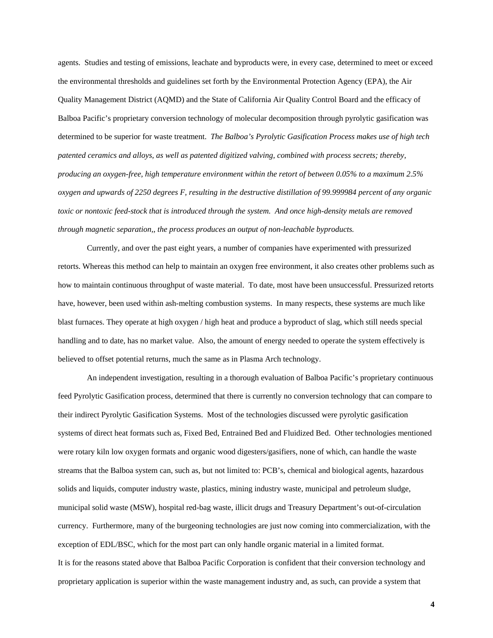agents. Studies and testing of emissions, leachate and byproducts were, in every case, determined to meet or exceed the environmental thresholds and guidelines set forth by the Environmental Protection Agency (EPA), the Air Quality Management District (AQMD) and the State of California Air Quality Control Board and the efficacy of Balboa Pacific's proprietary conversion technology of molecular decomposition through pyrolytic gasification was determined to be superior for waste treatment. *The Balboa's Pyrolytic Gasification Process makes use of high tech patented ceramics and alloys, as well as patented digitized valving, combined with process secrets; thereby, producing an oxygen-free, high temperature environment within the retort of between 0.05% to a maximum 2.5% oxygen and upwards of 2250 degrees F, resulting in the destructive distillation of 99.999984 percent of any organic toxic or nontoxic feed-stock that is introduced through the system. And once high-density metals are removed through magnetic separation,, the process produces an output of non-leachable byproducts.* 

Currently, and over the past eight years, a number of companies have experimented with pressurized retorts. Whereas this method can help to maintain an oxygen free environment, it also creates other problems such as how to maintain continuous throughput of waste material. To date, most have been unsuccessful. Pressurized retorts have, however, been used within ash-melting combustion systems. In many respects, these systems are much like blast furnaces. They operate at high oxygen / high heat and produce a byproduct of slag, which still needs special handling and to date, has no market value. Also, the amount of energy needed to operate the system effectively is believed to offset potential returns, much the same as in Plasma Arch technology.

An independent investigation, resulting in a thorough evaluation of Balboa Pacific's proprietary continuous feed Pyrolytic Gasification process, determined that there is currently no conversion technology that can compare to their indirect Pyrolytic Gasification Systems. Most of the technologies discussed were pyrolytic gasification systems of direct heat formats such as, Fixed Bed, Entrained Bed and Fluidized Bed. Other technologies mentioned were rotary kiln low oxygen formats and organic wood digesters/gasifiers, none of which, can handle the waste streams that the Balboa system can, such as, but not limited to: PCB's, chemical and biological agents, hazardous solids and liquids, computer industry waste, plastics, mining industry waste, municipal and petroleum sludge, municipal solid waste (MSW), hospital red-bag waste, illicit drugs and Treasury Department's out-of-circulation currency. Furthermore, many of the burgeoning technologies are just now coming into commercialization, with the exception of EDL/BSC, which for the most part can only handle organic material in a limited format. It is for the reasons stated above that Balboa Pacific Corporation is confident that their conversion technology and proprietary application is superior within the waste management industry and, as such, can provide a system that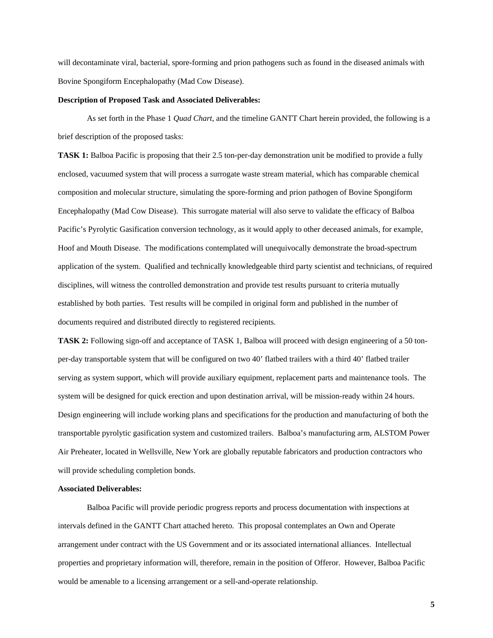will decontaminate viral, bacterial, spore-forming and prion pathogens such as found in the diseased animals with Bovine Spongiform Encephalopathy (Mad Cow Disease).

#### **Description of Proposed Task and Associated Deliverables:**

As set forth in the Phase 1 *Quad Chart,* and the timeline GANTT Chart herein provided, the following is a brief description of the proposed tasks:

**TASK 1:** Balboa Pacific is proposing that their 2.5 ton-per-day demonstration unit be modified to provide a fully enclosed, vacuumed system that will process a surrogate waste stream material, which has comparable chemical composition and molecular structure, simulating the spore-forming and prion pathogen of Bovine Spongiform Encephalopathy (Mad Cow Disease). This surrogate material will also serve to validate the efficacy of Balboa Pacific's Pyrolytic Gasification conversion technology, as it would apply to other deceased animals, for example, Hoof and Mouth Disease. The modifications contemplated will unequivocally demonstrate the broad-spectrum application of the system. Qualified and technically knowledgeable third party scientist and technicians, of required disciplines, will witness the controlled demonstration and provide test results pursuant to criteria mutually established by both parties. Test results will be compiled in original form and published in the number of documents required and distributed directly to registered recipients.

**TASK 2:** Following sign-off and acceptance of TASK 1, Balboa will proceed with design engineering of a 50 tonper-day transportable system that will be configured on two 40' flatbed trailers with a third 40' flatbed trailer serving as system support, which will provide auxiliary equipment, replacement parts and maintenance tools. The system will be designed for quick erection and upon destination arrival, will be mission-ready within 24 hours. Design engineering will include working plans and specifications for the production and manufacturing of both the transportable pyrolytic gasification system and customized trailers. Balboa's manufacturing arm, ALSTOM Power Air Preheater, located in Wellsville, New York are globally reputable fabricators and production contractors who will provide scheduling completion bonds.

#### **Associated Deliverables:**

Balboa Pacific will provide periodic progress reports and process documentation with inspections at intervals defined in the GANTT Chart attached hereto. This proposal contemplates an Own and Operate arrangement under contract with the US Government and or its associated international alliances. Intellectual properties and proprietary information will, therefore, remain in the position of Offeror. However, Balboa Pacific would be amenable to a licensing arrangement or a sell-and-operate relationship.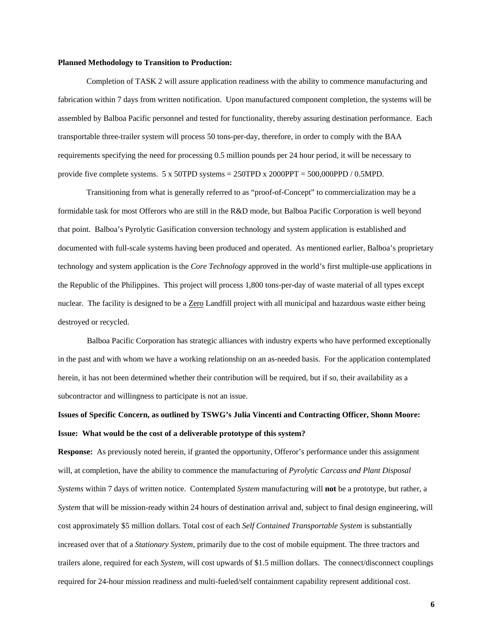#### **Planned Methodology to Transition to Production:**

Completion of TASK 2 will assure application readiness with the ability to commence manufacturing and fabrication within 7 days from written notification. Upon manufactured component completion, the systems will be assembled by Balboa Pacific personnel and tested for functionality, thereby assuring destination performance. Each transportable three-trailer system will process 50 tons-per-day, therefore, in order to comply with the BAA requirements specifying the need for processing 0.5 million pounds per 24 hour period, it will be necessary to provide five complete systems.  $5 \times 50$ TPD systems = 250TPD x 2000PPT = 500,000PPD / 0.5MPD.

Transitioning from what is generally referred to as "proof-of-Concept" to commercialization may be a formidable task for most Offerors who are still in the R&D mode, but Balboa Pacific Corporation is well beyond that point. Balboa's Pyrolytic Gasification conversion technology and system application is established and documented with full-scale systems having been produced and operated. As mentioned earlier, Balboa's proprietary technology and system application is the *Core Technology* approved in the world's first multiple-use applications in the Republic of the Philippines. This project will process 1,800 tons-per-day of waste material of all types except nuclear. The facility is designed to be a Zero Landfill project with all municipal and hazardous waste either being destroyed or recycled.

Balboa Pacific Corporation has strategic alliances with industry experts who have performed exceptionally in the past and with whom we have a working relationship on an as-needed basis. For the application contemplated herein, it has not been determined whether their contribution will be required, but if so, their availability as a subcontractor and willingness to participate is not an issue.

# **Issues of Specific Concern, as outlined by TSWG's Julia Vincenti and Contracting Officer, Shonn Moore: Issue: What would be the cost of a deliverable prototype of this system?**

**Response:** As previously noted herein, if granted the opportunity, Offeror's performance under this assignment will, at completion, have the ability to commence the manufacturing of *Pyrolytic Carcass and Plant Disposal Systems* within 7 days of written notice. Contemplated *System* manufacturing will **not** be a prototype, but rather, a *System* that will be mission-ready within 24 hours of destination arrival and, subject to final design engineering, will cost approximately \$5 million dollars. Total cost of each *Self Contained Transportable System* is substantially increased over that of a *Stationary System,* primarily due to the cost of mobile equipment. The three tractors and trailers alone, required for each *System*, will cost upwards of \$1.5 million dollars. The connect/disconnect couplings required for 24-hour mission readiness and multi-fueled/self containment capability represent additional cost.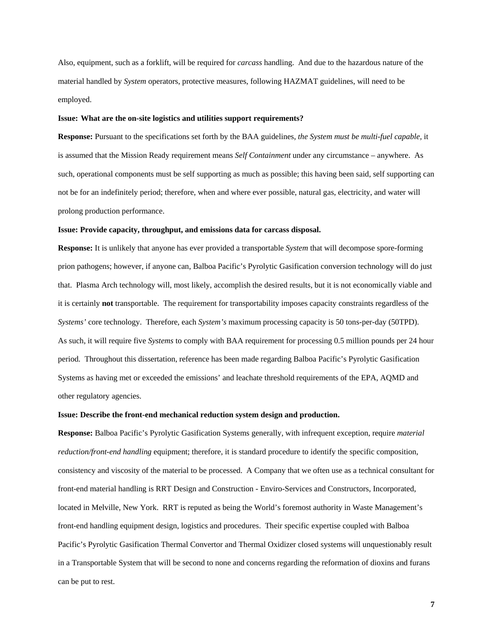Also, equipment, such as a forklift, will be required for *carcass* handling. And due to the hazardous nature of the material handled by *System* operators, protective measures, following HAZMAT guidelines, will need to be employed.

#### **Issue: What are the on-site logistics and utilities support requirements?**

**Response:** Pursuant to the specifications set forth by the BAA guidelines, *the System must be multi-fuel capable,* it is assumed that the Mission Ready requirement means *Self Containment* under any circumstance – anywhere. As such, operational components must be self supporting as much as possible; this having been said, self supporting can not be for an indefinitely period; therefore, when and where ever possible, natural gas, electricity, and water will prolong production performance.

#### **Issue: Provide capacity, throughput, and emissions data for carcass disposal.**

**Response:** It is unlikely that anyone has ever provided a transportable *System* that will decompose spore-forming prion pathogens; however, if anyone can, Balboa Pacific's Pyrolytic Gasification conversion technology will do just that. Plasma Arch technology will, most likely, accomplish the desired results, but it is not economically viable and it is certainly **not** transportable. The requirement for transportability imposes capacity constraints regardless of the *Systems'* core technology. Therefore, each *System's* maximum processing capacity is 50 tons-per-day (50TPD). As such, it will require five *Systems* to comply with BAA requirement for processing 0.5 million pounds per 24 hour period. Throughout this dissertation, reference has been made regarding Balboa Pacific's Pyrolytic Gasification Systems as having met or exceeded the emissions' and leachate threshold requirements of the EPA, AQMD and other regulatory agencies.

#### **Issue: Describe the front-end mechanical reduction system design and production.**

**Response:** Balboa Pacific's Pyrolytic Gasification Systems generally, with infrequent exception, require *material reduction/front-end handling* equipment; therefore, it is standard procedure to identify the specific composition, consistency and viscosity of the material to be processed. A Company that we often use as a technical consultant for front-end material handling is RRT Design and Construction - Enviro-Services and Constructors, Incorporated, located in Melville, New York. RRT is reputed as being the World's foremost authority in Waste Management's front-end handling equipment design, logistics and procedures. Their specific expertise coupled with Balboa Pacific's Pyrolytic Gasification Thermal Convertor and Thermal Oxidizer closed systems will unquestionably result in a Transportable System that will be second to none and concerns regarding the reformation of dioxins and furans can be put to rest.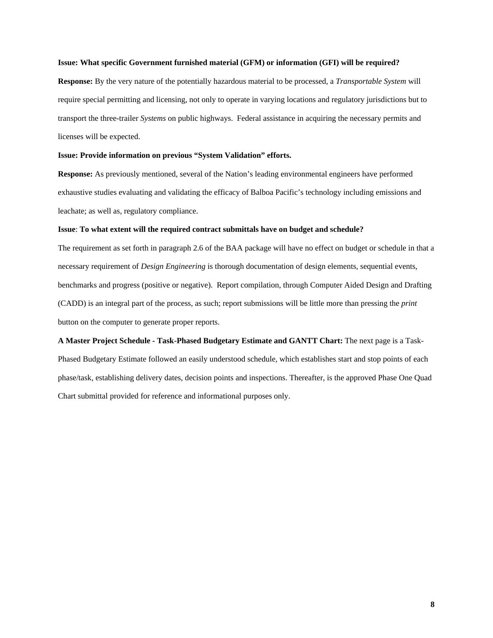### **Issue: What specific Government furnished material (GFM) or information (GFI) will be required?**

**Response:** By the very nature of the potentially hazardous material to be processed, a *Transportable System* will require special permitting and licensing, not only to operate in varying locations and regulatory jurisdictions but to transport the three-trailer *Systems* on public highways. Federal assistance in acquiring the necessary permits and licenses will be expected.

## **Issue: Provide information on previous "System Validation" efforts.**

**Response:** As previously mentioned, several of the Nation's leading environmental engineers have performed exhaustive studies evaluating and validating the efficacy of Balboa Pacific's technology including emissions and leachate; as well as, regulatory compliance.

#### **Issue**: **To what extent will the required contract submittals have on budget and schedule?**

The requirement as set forth in paragraph 2.6 of the BAA package will have no effect on budget or schedule in that a necessary requirement of *Design Engineering* is thorough documentation of design elements, sequential events, benchmarks and progress (positive or negative). Report compilation, through Computer Aided Design and Drafting (CADD) is an integral part of the process, as such; report submissions will be little more than pressing the *print* button on the computer to generate proper reports.

**A Master Project Schedule - Task-Phased Budgetary Estimate and GANTT Chart:** The next page is a Task-Phased Budgetary Estimate followed an easily understood schedule, which establishes start and stop points of each phase/task, establishing delivery dates, decision points and inspections. Thereafter, is the approved Phase One Quad Chart submittal provided for reference and informational purposes only.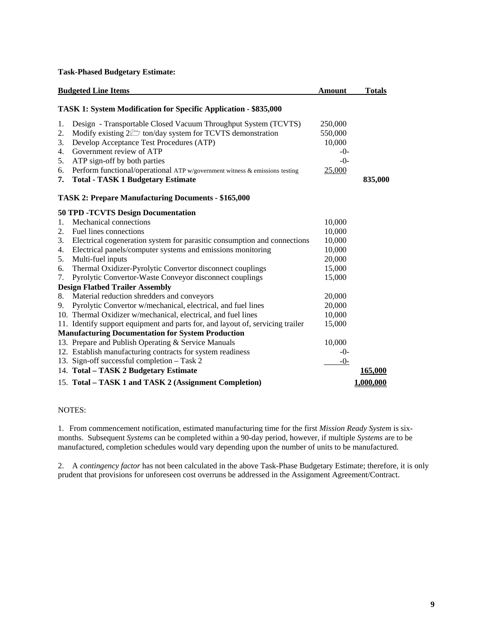**Task-Phased Budgetary Estimate:** 

|    | <b>Budgeted Line Items</b>                                                                   | <b>Amount</b> | <b>Totals</b> |
|----|----------------------------------------------------------------------------------------------|---------------|---------------|
|    | <b>TASK 1: System Modification for Specific Application - \$835,000</b>                      |               |               |
| 1. | Design - Transportable Closed Vacuum Throughput System (TCVTS)                               | 250,000       |               |
| 2. | Modify existing $2 \overline{\smash{\bigtriangleup}}$ ton/day system for TCVTS demonstration | 550,000       |               |
| 3. | Develop Acceptance Test Procedures (ATP)                                                     | 10,000        |               |
| 4. | Government review of ATP                                                                     | $-0-$         |               |
| 5. | ATP sign-off by both parties                                                                 | $-0-$         |               |
| 6. | Perform functional/operational ATP w/government witness & emissions testing                  | 25,000        |               |
| 7. | <b>Total - TASK 1 Budgetary Estimate</b>                                                     |               | 835,000       |
|    | <b>TASK 2: Prepare Manufacturing Documents - \$165,000</b>                                   |               |               |
|    | <b>50 TPD -TCVTS Design Documentation</b>                                                    |               |               |
| 1. | Mechanical connections                                                                       | 10,000        |               |
| 2. | Fuel lines connections                                                                       | 10,000        |               |
| 3. | Electrical cogeneration system for parasitic consumption and connections                     | 10,000        |               |
| 4. | Electrical panels/computer systems and emissions monitoring                                  | 10,000        |               |
| 5. | Multi-fuel inputs                                                                            | 20,000        |               |
| 6. | Thermal Oxidizer-Pyrolytic Convertor disconnect couplings                                    | 15,000        |               |
| 7. | Pyrolytic Convertor-Waste Conveyor disconnect couplings                                      | 15,000        |               |
|    | <b>Design Flatbed Trailer Assembly</b>                                                       |               |               |
| 8. | Material reduction shredders and conveyors                                                   | 20,000        |               |
| 9. | Pyrolytic Convertor w/mechanical, electrical, and fuel lines                                 | 20,000        |               |
|    | 10. Thermal Oxidizer w/mechanical, electrical, and fuel lines                                | 10,000        |               |
|    | 11. Identify support equipment and parts for, and layout of, servicing trailer               | 15,000        |               |
|    | <b>Manufacturing Documentation for System Production</b>                                     |               |               |
|    | 13. Prepare and Publish Operating & Service Manuals                                          | 10,000        |               |
|    | 12. Establish manufacturing contracts for system readiness                                   | $-0-$         |               |
|    | 13. Sign-off successful completion - Task 2                                                  | $-0-$         |               |
|    | 14. Total - TASK 2 Budgetary Estimate                                                        |               | 165,000       |
|    | 15. Total – TASK 1 and TASK 2 (Assignment Completion)                                        |               | 1.000.000     |

# NOTES:

1. From commencement notification, estimated manufacturing time for the first *Mission Ready System* is sixmonths. Subsequent *Systems* can be completed within a 90-day period, however, if multiple *Systems* are to be manufactured, completion schedules would vary depending upon the number of units to be manufactured.

2. A *contingency factor* has not been calculated in the above Task-Phase Budgetary Estimate; therefore, it is only prudent that provisions for unforeseen cost overruns be addressed in the Assignment Agreement/Contract.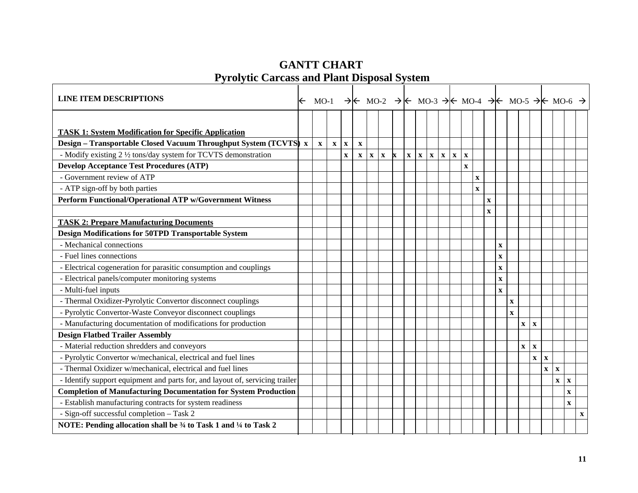# **GANTT CHART Pyrolytic Carcass and Plant Disposal System**

| <b>LINE ITEM DESCRIPTIONS</b>                                                | $\leftarrow$ |              |              |              | MO-1 $\rightarrow$ K MO-2 $\rightarrow$ K MO-3 $\rightarrow$ K MO-4 $\rightarrow$ K MO-5 $\rightarrow$ K MO-6 $\rightarrow$ |             |              |   |             |              |             |             |             |              |              |             |              |              |             |                              |              |              |              |             |
|------------------------------------------------------------------------------|--------------|--------------|--------------|--------------|-----------------------------------------------------------------------------------------------------------------------------|-------------|--------------|---|-------------|--------------|-------------|-------------|-------------|--------------|--------------|-------------|--------------|--------------|-------------|------------------------------|--------------|--------------|--------------|-------------|
|                                                                              |              |              |              |              |                                                                                                                             |             |              |   |             |              |             |             |             |              |              |             |              |              |             |                              |              |              |              |             |
| <b>TASK 1: System Modification for Specific Application</b>                  |              |              |              |              |                                                                                                                             |             |              |   |             |              |             |             |             |              |              |             |              |              |             |                              |              |              |              |             |
| Design – Transportable Closed Vacuum Throughput System (TCVTS) x             |              | $\mathbf{x}$ | $\mathbf{x}$ | $\mathbf{x}$ | $\mathbf X$                                                                                                                 |             |              |   |             |              |             |             |             |              |              |             |              |              |             |                              |              |              |              |             |
| - Modify existing 2 1/2 tons/day system for TCVTS demonstration              |              |              |              | $\mathbf X$  | $\mathbf X$                                                                                                                 | $\mathbf X$ | $\mathbf{x}$ | X | $\mathbf X$ | $\mathbf{x}$ | $\mathbf X$ | $\mathbf X$ | $\mathbf X$ | $\mathbf X$  |              |             |              |              |             |                              |              |              |              |             |
| <b>Develop Acceptance Test Procedures (ATP)</b>                              |              |              |              |              |                                                                                                                             |             |              |   |             |              |             |             |             | $\mathbf{x}$ |              |             |              |              |             |                              |              |              |              |             |
| - Government review of ATP                                                   |              |              |              |              |                                                                                                                             |             |              |   |             |              |             |             |             |              | $\mathbf{x}$ |             |              |              |             |                              |              |              |              |             |
| - ATP sign-off by both parties                                               |              |              |              |              |                                                                                                                             |             |              |   |             |              |             |             |             |              | $\mathbf{x}$ |             |              |              |             |                              |              |              |              |             |
| Perform Functional/Operational ATP w/Government Witness                      |              |              |              |              |                                                                                                                             |             |              |   |             |              |             |             |             |              |              | $\mathbf X$ |              |              |             |                              |              |              |              |             |
|                                                                              |              |              |              |              |                                                                                                                             |             |              |   |             |              |             |             |             |              |              | $\mathbf x$ |              |              |             |                              |              |              |              |             |
| <b>TASK 2: Prepare Manufacturing Documents</b>                               |              |              |              |              |                                                                                                                             |             |              |   |             |              |             |             |             |              |              |             |              |              |             |                              |              |              |              |             |
| <b>Design Modifications for 50TPD Transportable System</b>                   |              |              |              |              |                                                                                                                             |             |              |   |             |              |             |             |             |              |              |             |              |              |             |                              |              |              |              |             |
| - Mechanical connections                                                     |              |              |              |              |                                                                                                                             |             |              |   |             |              |             |             |             |              |              |             | $\mathbf{X}$ |              |             |                              |              |              |              |             |
| - Fuel lines connections                                                     |              |              |              |              |                                                                                                                             |             |              |   |             |              |             |             |             |              |              |             | $\mathbf{X}$ |              |             |                              |              |              |              |             |
| - Electrical cogeneration for parasitic consumption and couplings            |              |              |              |              |                                                                                                                             |             |              |   |             |              |             |             |             |              |              |             | $\mathbf X$  |              |             |                              |              |              |              |             |
| - Electrical panels/computer monitoring systems                              |              |              |              |              |                                                                                                                             |             |              |   |             |              |             |             |             |              |              |             | $\mathbf{X}$ |              |             |                              |              |              |              |             |
| - Multi-fuel inputs                                                          |              |              |              |              |                                                                                                                             |             |              |   |             |              |             |             |             |              |              |             | $\mathbf X$  |              |             |                              |              |              |              |             |
| - Thermal Oxidizer-Pyrolytic Convertor disconnect couplings                  |              |              |              |              |                                                                                                                             |             |              |   |             |              |             |             |             |              |              |             |              | $\mathbf X$  |             |                              |              |              |              |             |
| - Pyrolytic Convertor-Waste Conveyor disconnect couplings                    |              |              |              |              |                                                                                                                             |             |              |   |             |              |             |             |             |              |              |             |              | $\mathbf{x}$ |             |                              |              |              |              |             |
| - Manufacturing documentation of modifications for production                |              |              |              |              |                                                                                                                             |             |              |   |             |              |             |             |             |              |              |             |              |              | $\mathbf X$ | $\mathbf{x}$                 |              |              |              |             |
| <b>Design Flatbed Trailer Assembly</b>                                       |              |              |              |              |                                                                                                                             |             |              |   |             |              |             |             |             |              |              |             |              |              |             |                              |              |              |              |             |
| - Material reduction shredders and conveyors                                 |              |              |              |              |                                                                                                                             |             |              |   |             |              |             |             |             |              |              |             |              |              | $\mathbf X$ | $\mathbf X$                  |              |              |              |             |
| - Pyrolytic Convertor w/mechanical, electrical and fuel lines                |              |              |              |              |                                                                                                                             |             |              |   |             |              |             |             |             |              |              |             |              |              |             | $\mathbf{x} \mid \mathbf{x}$ |              |              |              |             |
| - Thermal Oxidizer w/mechanical, electrical and fuel lines                   |              |              |              |              |                                                                                                                             |             |              |   |             |              |             |             |             |              |              |             |              |              |             |                              | $\mathbf{x}$ | $\mathbf{x}$ |              |             |
| - Identify support equipment and parts for, and layout of, servicing trailer |              |              |              |              |                                                                                                                             |             |              |   |             |              |             |             |             |              |              |             |              |              |             |                              |              | $\mathbf X$  | $\mathbf{x}$ |             |
| <b>Completion of Manufacturing Documentation for System Production</b>       |              |              |              |              |                                                                                                                             |             |              |   |             |              |             |             |             |              |              |             |              |              |             |                              |              |              | $\mathbf{X}$ |             |
| - Establish manufacturing contracts for system readiness                     |              |              |              |              |                                                                                                                             |             |              |   |             |              |             |             |             |              |              |             |              |              |             |                              |              |              | $\mathbf{X}$ |             |
| - Sign-off successful completion - Task 2                                    |              |              |              |              |                                                                                                                             |             |              |   |             |              |             |             |             |              |              |             |              |              |             |                              |              |              |              | $\mathbf X$ |
| NOTE: Pending allocation shall be 34 to Task 1 and 14 to Task 2              |              |              |              |              |                                                                                                                             |             |              |   |             |              |             |             |             |              |              |             |              |              |             |                              |              |              |              |             |